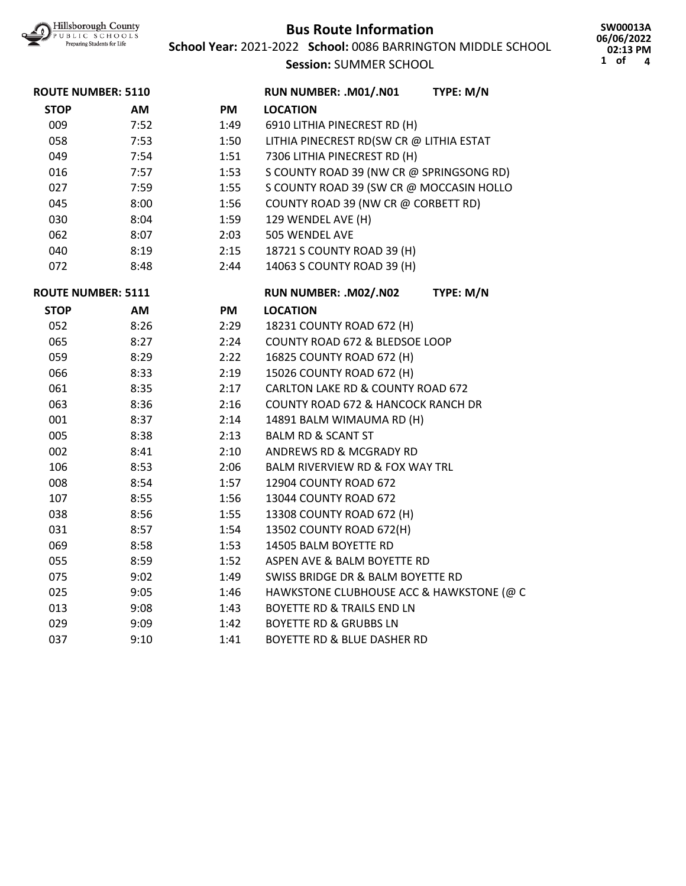

**School Year:** 2021-2022 **School:** 0086 BARRINGTON MIDDLE SCHOOL

**Session:** SUMMER SCHOOL

**SW00013A 06/06/2022 02:13 PM 1 of 4**

| <b>ROUTE NUMBER: 5110</b> |      |      | RUN NUMBER: .M01/.N01                      | TYPE: M/N |
|---------------------------|------|------|--------------------------------------------|-----------|
| <b>STOP</b>               | AM   | PM   | <b>LOCATION</b>                            |           |
| 009                       | 7:52 | 1:49 | 6910 LITHIA PINECREST RD (H)               |           |
| 058                       | 7:53 | 1:50 | LITHIA PINECREST RD(SW CR @ LITHIA ESTAT   |           |
| 049                       | 7:54 | 1:51 | 7306 LITHIA PINECREST RD (H)               |           |
| 016                       | 7:57 | 1:53 | S COUNTY ROAD 39 (NW CR @ SPRINGSONG RD)   |           |
| 027                       | 7:59 | 1:55 | S COUNTY ROAD 39 (SW CR @ MOCCASIN HOLLO   |           |
| 045                       | 8:00 | 1:56 | COUNTY ROAD 39 (NW CR @ CORBETT RD)        |           |
| 030                       | 8:04 | 1:59 | 129 WENDEL AVE (H)                         |           |
| 062                       | 8:07 | 2:03 | 505 WENDEL AVE                             |           |
| 040                       | 8:19 | 2:15 | 18721 S COUNTY ROAD 39 (H)                 |           |
| 072                       | 8:48 | 2:44 | 14063 S COUNTY ROAD 39 (H)                 |           |
| <b>ROUTE NUMBER: 5111</b> |      |      | RUN NUMBER: .M02/.N02                      | TYPE: M/N |
| <b>STOP</b>               | AM   | PM   | <b>LOCATION</b>                            |           |
| 052                       | 8:26 | 2:29 | 18231 COUNTY ROAD 672 (H)                  |           |
| 065                       | 8:27 | 2:24 | COUNTY ROAD 672 & BLEDSOE LOOP             |           |
| 059                       | 8:29 | 2:22 | 16825 COUNTY ROAD 672 (H)                  |           |
| 066                       | 8:33 | 2:19 | 15026 COUNTY ROAD 672 (H)                  |           |
| 061                       | 8:35 | 2:17 | CARLTON LAKE RD & COUNTY ROAD 672          |           |
| 063                       | 8:36 | 2:16 | COUNTY ROAD 672 & HANCOCK RANCH DR         |           |
| 001                       | 8:37 | 2:14 | 14891 BALM WIMAUMA RD (H)                  |           |
| 005                       | 8:38 | 2:13 | <b>BALM RD &amp; SCANT ST</b>              |           |
| 002                       | 8:41 | 2:10 | ANDREWS RD & MCGRADY RD                    |           |
| 106                       | 8:53 | 2:06 | <b>BALM RIVERVIEW RD &amp; FOX WAY TRL</b> |           |
| 008                       | 8:54 | 1:57 | 12904 COUNTY ROAD 672                      |           |
| 107                       | 8:55 | 1:56 | 13044 COUNTY ROAD 672                      |           |
| 038                       | 8:56 | 1:55 | 13308 COUNTY ROAD 672 (H)                  |           |
| 031                       | 8:57 | 1:54 | 13502 COUNTY ROAD 672(H)                   |           |
| 069                       | 8:58 | 1:53 | 14505 BALM BOYETTE RD                      |           |
| 055                       | 8:59 | 1:52 | ASPEN AVE & BALM BOYETTE RD                |           |
| 075                       | 9:02 | 1:49 | SWISS BRIDGE DR & BALM BOYETTE RD          |           |
| 025                       | 9:05 | 1:46 | HAWKSTONE CLUBHOUSE ACC & HAWKSTONE (@ C   |           |
| 013                       | 9:08 | 1:43 | <b>BOYETTE RD &amp; TRAILS END LN</b>      |           |
| 029                       | 9:09 | 1:42 | <b>BOYETTE RD &amp; GRUBBS LN</b>          |           |
| 037                       | 9:10 | 1:41 | <b>BOYETTE RD &amp; BLUE DASHER RD</b>     |           |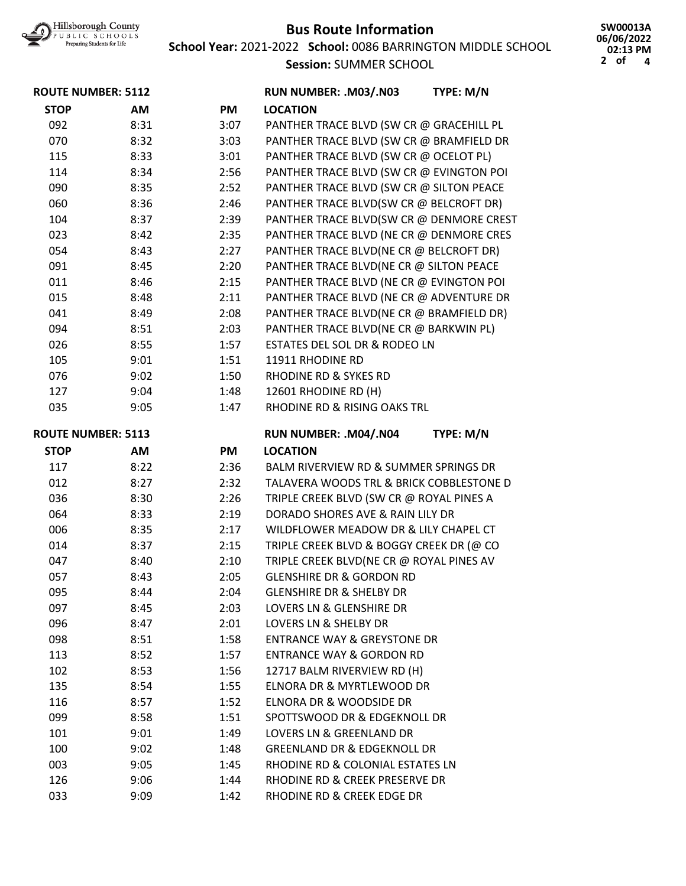

**School Year:** 2021-2022 **School:** 0086 BARRINGTON MIDDLE SCHOOL

**Session:** SUMMER SCHOOL

**SW00013A 06/06/2022 02:13 PM 2 of 4**

| <b>ROUTE NUMBER: 5112</b> |      |           | RUN NUMBER: .M03/.N03                    | TYPE: M/N |
|---------------------------|------|-----------|------------------------------------------|-----------|
| <b>STOP</b>               | AM   | <b>PM</b> | <b>LOCATION</b>                          |           |
| 092                       | 8:31 | 3:07      | PANTHER TRACE BLVD (SW CR @ GRACEHILL PL |           |
| 070                       | 8:32 | 3:03      | PANTHER TRACE BLVD (SW CR @ BRAMFIELD DR |           |
| 115                       | 8:33 | 3:01      | PANTHER TRACE BLVD (SW CR @ OCELOT PL)   |           |
| 114                       | 8:34 | 2:56      | PANTHER TRACE BLVD (SW CR @ EVINGTON POI |           |
| 090                       | 8:35 | 2:52      | PANTHER TRACE BLVD (SW CR @ SILTON PEACE |           |
| 060                       | 8:36 | 2:46      | PANTHER TRACE BLVD(SW CR @ BELCROFT DR)  |           |
| 104                       | 8:37 | 2:39      | PANTHER TRACE BLVD(SW CR @ DENMORE CREST |           |
| 023                       | 8:42 | 2:35      | PANTHER TRACE BLVD (NE CR @ DENMORE CRES |           |
| 054                       | 8:43 | 2:27      | PANTHER TRACE BLVD(NE CR @ BELCROFT DR)  |           |
| 091                       | 8:45 | 2:20      | PANTHER TRACE BLVD(NE CR @ SILTON PEACE  |           |
| 011                       | 8:46 | 2:15      | PANTHER TRACE BLVD (NE CR @ EVINGTON POI |           |
| 015                       | 8:48 | 2:11      | PANTHER TRACE BLVD (NE CR @ ADVENTURE DR |           |
| 041                       | 8:49 | 2:08      | PANTHER TRACE BLVD(NE CR @ BRAMFIELD DR) |           |
| 094                       | 8:51 | 2:03      | PANTHER TRACE BLVD(NE CR @ BARKWIN PL)   |           |
| 026                       | 8:55 | 1:57      | ESTATES DEL SOL DR & RODEO LN            |           |
| 105                       | 9:01 | 1:51      | 11911 RHODINE RD                         |           |
| 076                       | 9:02 | 1:50      | <b>RHODINE RD &amp; SYKES RD</b>         |           |
| 127                       | 9:04 | 1:48      | 12601 RHODINE RD (H)                     |           |
| 035                       | 9:05 | 1:47      | RHODINE RD & RISING OAKS TRL             |           |
| <b>ROUTE NUMBER: 5113</b> |      |           | RUN NUMBER: .M04/.N04                    | TYPE: M/N |
| <b>STOP</b>               | AM   | PM        | <b>LOCATION</b>                          |           |
| 117                       | 8:22 | 2:36      | BALM RIVERVIEW RD & SUMMER SPRINGS DR    |           |
| 012                       | 8:27 | 2:32      | TALAVERA WOODS TRL & BRICK COBBLESTONE D |           |
| 036                       | 8:30 | 2:26      | TRIPLE CREEK BLVD (SW CR @ ROYAL PINES A |           |
| 064                       | 8:33 | 2:19      | DORADO SHORES AVE & RAIN LILY DR         |           |
| 006                       | 8:35 | 2:17      | WILDFLOWER MEADOW DR & LILY CHAPEL CT    |           |
| 014                       | 8:37 | 2:15      | TRIPLE CREEK BLVD & BOGGY CREEK DR (@ CO |           |
| 047                       | 8:40 | 2:10      | TRIPLE CREEK BLVD(NE CR @ ROYAL PINES AV |           |
| 057                       | 8:43 | 2:05      | <b>GLENSHIRE DR &amp; GORDON RD</b>      |           |
| 095                       | 8:44 | 2:04      | <b>GLENSHIRE DR &amp; SHELBY DR</b>      |           |
| 097                       | 8:45 | 2:03      | LOVERS LN & GLENSHIRE DR                 |           |
| 096                       | 8:47 | 2:01      | LOVERS LN & SHELBY DR                    |           |
| 098                       | 8:51 | 1:58      | <b>ENTRANCE WAY &amp; GREYSTONE DR</b>   |           |
| 113                       | 8:52 | 1:57      | <b>ENTRANCE WAY &amp; GORDON RD</b>      |           |
| 102                       | 8:53 | 1:56      | 12717 BALM RIVERVIEW RD (H)              |           |
| 135                       | 8:54 | 1:55      | ELNORA DR & MYRTLEWOOD DR                |           |
| 116                       | 8:57 | 1:52      | ELNORA DR & WOODSIDE DR                  |           |
| 099                       | 8:58 | 1:51      | SPOTTSWOOD DR & EDGEKNOLL DR             |           |
| 101                       | 9:01 | 1:49      | LOVERS LN & GREENLAND DR                 |           |
| 100                       | 9:02 | 1:48      | <b>GREENLAND DR &amp; EDGEKNOLL DR</b>   |           |
| 003                       | 9:05 | 1:45      | RHODINE RD & COLONIAL ESTATES LN         |           |
| 126                       | 9:06 | 1:44      | RHODINE RD & CREEK PRESERVE DR           |           |
| 033                       | 9:09 | 1:42      | RHODINE RD & CREEK EDGE DR               |           |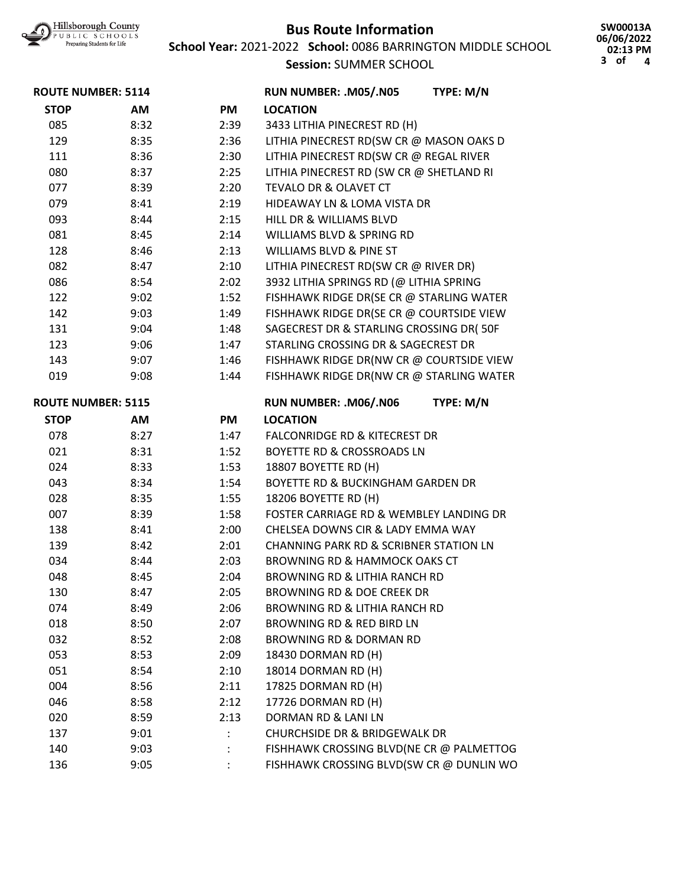

**School Year:** 2021-2022 **School:** 0086 BARRINGTON MIDDLE SCHOOL

**SW00013A 06/06/2022 02:13 PM 3 of 4**

**Session:** SUMMER SCHOOL

| <b>ROUTE NUMBER: 5114</b> |      |           | RUN NUMBER: .M05/.N05<br>TYPE: M/N                |  |
|---------------------------|------|-----------|---------------------------------------------------|--|
| <b>STOP</b>               | AM   | <b>PM</b> | <b>LOCATION</b>                                   |  |
| 085                       | 8:32 | 2:39      | 3433 LITHIA PINECREST RD (H)                      |  |
| 129                       | 8:35 | 2:36      | LITHIA PINECREST RD(SW CR @ MASON OAKS D          |  |
| 111                       | 8:36 | 2:30      | LITHIA PINECREST RD(SW CR @ REGAL RIVER           |  |
| 080                       | 8:37 | 2:25      | LITHIA PINECREST RD (SW CR @ SHETLAND RI          |  |
| 077                       | 8:39 | 2:20      | <b>TEVALO DR &amp; OLAVET CT</b>                  |  |
| 079                       | 8:41 | 2:19      | HIDEAWAY LN & LOMA VISTA DR                       |  |
| 093                       | 8:44 | 2:15      | HILL DR & WILLIAMS BLVD                           |  |
| 081                       | 8:45 | 2:14      | <b>WILLIAMS BLVD &amp; SPRING RD</b>              |  |
| 128                       | 8:46 | 2:13      | <b>WILLIAMS BLVD &amp; PINE ST</b>                |  |
| 082                       | 8:47 | 2:10      | LITHIA PINECREST RD(SW CR @ RIVER DR)             |  |
| 086                       | 8:54 | 2:02      | 3932 LITHIA SPRINGS RD (@ LITHIA SPRING           |  |
| 122                       | 9:02 | 1:52      | FISHHAWK RIDGE DR(SE CR @ STARLING WATER          |  |
| 142                       | 9:03 | 1:49      | FISHHAWK RIDGE DR(SE CR @ COURTSIDE VIEW          |  |
| 131                       | 9:04 | 1:48      | SAGECREST DR & STARLING CROSSING DR( 50F          |  |
| 123                       | 9:06 | 1:47      | STARLING CROSSING DR & SAGECREST DR               |  |
| 143                       | 9:07 | 1:46      | FISHHAWK RIDGE DR(NW CR @ COURTSIDE VIEW          |  |
| 019                       | 9:08 | 1:44      | FISHHAWK RIDGE DR(NW CR @ STARLING WATER          |  |
| <b>ROUTE NUMBER: 5115</b> |      |           | TYPE: M/N<br>RUN NUMBER: .M06/.N06                |  |
| <b>STOP</b>               | AM   | <b>PM</b> | <b>LOCATION</b>                                   |  |
| 078                       | 8:27 | 1:47      | <b>FALCONRIDGE RD &amp; KITECREST DR</b>          |  |
| 021                       | 8:31 | 1:52      | <b>BOYETTE RD &amp; CROSSROADS LN</b>             |  |
| 024                       | 8:33 | 1:53      | 18807 BOYETTE RD (H)                              |  |
| 043                       | 8:34 | 1:54      | BOYETTE RD & BUCKINGHAM GARDEN DR                 |  |
| 028                       | 8:35 | 1:55      | 18206 BOYETTE RD (H)                              |  |
| 007                       | 8:39 | 1:58      | FOSTER CARRIAGE RD & WEMBLEY LANDING DR           |  |
| 138                       | 8:41 | 2:00      | CHELSEA DOWNS CIR & LADY EMMA WAY                 |  |
| 139                       | 8:42 | 2:01      | <b>CHANNING PARK RD &amp; SCRIBNER STATION LN</b> |  |
| 034                       | 8:44 | 2:03      | <b>BROWNING RD &amp; HAMMOCK OAKS CT</b>          |  |
| 048                       | 8:45 | 2:04      | BROWNING RD & LITHIA RANCH RD                     |  |
| 130                       | 8:47 | 2:05      | BROWNING RD & DOE CREEK DR                        |  |
| 074                       | 8:49 | 2:06      | <b>BROWNING RD &amp; LITHIA RANCH RD</b>          |  |
| 018                       | 8:50 | 2:07      | BROWNING RD & RED BIRD LN                         |  |
| 032                       | 8:52 | 2:08      | <b>BROWNING RD &amp; DORMAN RD</b>                |  |
| 053                       | 8:53 | 2:09      | 18430 DORMAN RD (H)                               |  |
| 051                       | 8:54 | 2:10      | 18014 DORMAN RD (H)                               |  |
| 004                       | 8:56 | 2:11      | 17825 DORMAN RD (H)                               |  |
| 046                       | 8:58 | 2:12      | 17726 DORMAN RD (H)                               |  |
| 020                       | 8:59 | 2:13      | DORMAN RD & LANI LN                               |  |
| 137                       | 9:01 |           | <b>CHURCHSIDE DR &amp; BRIDGEWALK DR</b>          |  |
| 140                       | 9:03 |           | FISHHAWK CROSSING BLVD(NE CR @ PALMETTOG          |  |
| 136                       | 9:05 |           | FISHHAWK CROSSING BLVD(SW CR @ DUNLIN WO          |  |